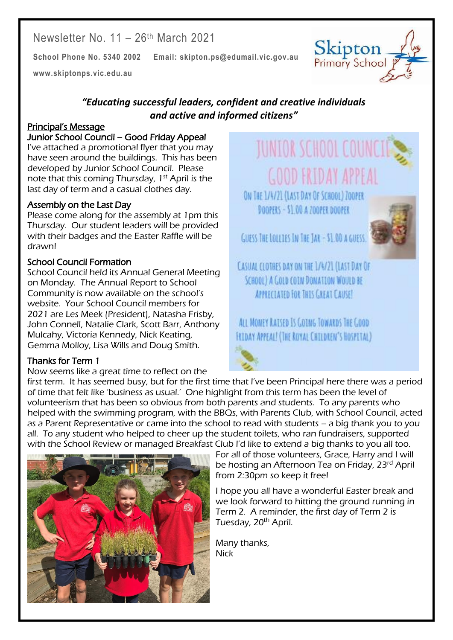Newsletter No. 11 – 26th March 2021

**School Phone No. 5340 2002 Email: skipton.ps@edumail.vic.gov.au**

**[www.skiptonps.vic.edu.au](http://www.skiptonps.vic.edu.au/)**

## *"Educating successful leaders, confident and creative individuals and active and informed citizens"*

#### Principal's Message

#### Junior School Council – Good Friday Appeal

I've attached a promotional flyer that you may have seen around the buildings. This has been developed by Junior School Council. Please note that this coming Thursday, 1<sup>st</sup> April is the last day of term and a casual clothes day.

#### Assembly on the Last Day

Please come along for the assembly at 1pm this Thursday. Our student leaders will be provided with their badges and the Easter Raffle will be drawn!

#### School Council Formation

School Council held its Annual General Meeting on Monday. The Annual Report to School Community is now available on the school's website. Your School Council members for 2021 are Les Meek (President), Natasha Frisby, John Connell, Natalie Clark, Scott Barr, Anthony Mulcahy, Victoria Kennedy, Nick Keating, Gemma Molloy, Lisa Wills and Doug Smith.

#### Thanks for Term 1

Now seems like a great time to reflect on the

# **JUNIOR SCHOOL COUNCI GOOD FRIDAY APPEAL**

ON THE 1/4/21 (LAST DAY OF SCHOOL) ZOOPER DOOPERS - \$1,00 A 700PER DOOPER

GUESS THE LOLLIES IN THE JAK - \$1.00 A GUESS.

CASUAL CLOTHES DAY ON THE 1/4/21 (LAST DAY OF SCHOOL) A GOLD COIN DONATION WOULD BE APPRECIATED FOR THIS GREAT CAUSE!

# ALL MONEY RATSED IS COTNG TOWARDS THE COOD **FRIDAY APPEAL! (THE ROYAL CHILDREN'S HOSPITAL)**

first term. It has seemed busy, but for the first time that I've been Principal here there was a period of time that felt like 'business as usual.' One highlight from this term has been the level of volunteerism that has been so obvious from both parents and students. To any parents who helped with the swimming program, with the BBQs, with Parents Club, with School Council, acted as a Parent Representative or came into the school to read with students – a big thank you to you all. To any student who helped to cheer up the student toilets, who ran fundraisers, supported with the School Review or managed Breakfast Club I'd like to extend a big thanks to you all too.

For all of those volunteers, Grace, Harry and I will be hosting an Afternoon Tea on Friday, 23<sup>rd</sup> April from 2:30pm so keep it free!

I hope you all have a wonderful Easter break and we look forward to hitting the ground running in Term 2. A reminder, the first day of Term 2 is Tuesday, 20<sup>th</sup> April.

Centacare South West

Many thanks, **Nick** 





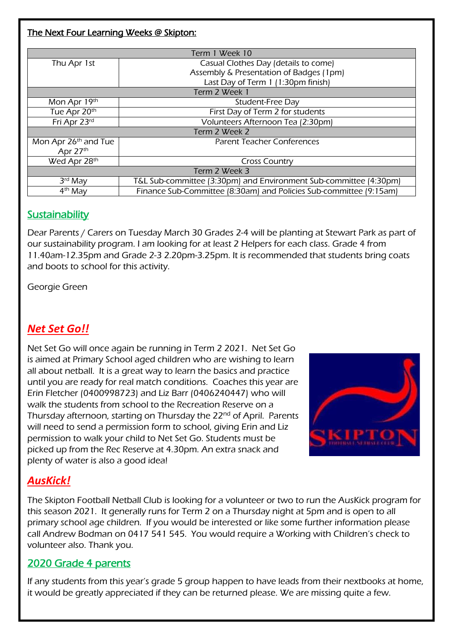#### The Next Four Learning Weeks @ Skipton:

| Term 1 Week 10       |                                                                    |  |  |  |
|----------------------|--------------------------------------------------------------------|--|--|--|
| Thu Apr 1st          | Casual Clothes Day (details to come)                               |  |  |  |
|                      | Assembly & Presentation of Badges (1pm)                            |  |  |  |
|                      | Last Day of Term 1 (1:30pm finish)                                 |  |  |  |
| Term 2 Week 1        |                                                                    |  |  |  |
| Mon Apr 19th         | Student-Free Day                                                   |  |  |  |
| Tue Apr 20th         | First Day of Term 2 for students                                   |  |  |  |
| Fri Apr 23rd         | Volunteers Afternoon Tea (2:30pm)                                  |  |  |  |
| Term 2 Week 2        |                                                                    |  |  |  |
| Mon Apr 26th and Tue | <b>Parent Teacher Conferences</b>                                  |  |  |  |
| Apr 27th             |                                                                    |  |  |  |
| Wed Apr 28th         | <b>Cross Country</b>                                               |  |  |  |
| Term 2 Week 3        |                                                                    |  |  |  |
| $3rd$ May            | T&L Sub-committee (3:30pm) and Environment Sub-committee (4:30pm)  |  |  |  |
| 4 <sup>th</sup> May  | Finance Sub-Committee (8:30am) and Policies Sub-committee (9:15am) |  |  |  |

## **Sustainability**

Dear Parents / Carers on Tuesday March 30 Grades 2-4 will be planting at Stewart Park as part of our sustainability program. I am looking for at least 2 Helpers for each class. Grade 4 from 11.40am-12.35pm and Grade 2-3 2.20pm-3.25pm. It is recommended that students bring coats and boots to school for this activity.

Georgie Green

# *Net Set Go!!*

Net Set Go will once again be running in Term 2 2021. Net Set Go is aimed at Primary School aged children who are wishing to learn all about netball. It is a great way to learn the basics and practice until you are ready for real match conditions. Coaches this year are Erin Fletcher (0400998723) and Liz Barr (0406240447) who will walk the students from school to the Recreation Reserve on a Thursday afternoon, starting on Thursday the 22<sup>nd</sup> of April. Parents will need to send a permission form to school, giving Erin and Liz permission to walk your child to Net Set Go. Students must be picked up from the Rec Reserve at 4.30pm. An extra snack and plenty of water is also a good idea!



Centacare South West

# *AusKick!*

The Skipton Football Netball Club is looking for a volunteer or two to run the AusKick program for this season 2021. It generally runs for Term 2 on a Thursday night at 5pm and is open to all primary school age children. If you would be interested or like some further information please call Andrew Bodman on 0417 541 545. You would require a Working with Children's check to volunteer also. Thank you.

## 2020 Grade 4 parents

If any students from this year's grade 5 group happen to have leads from their nextbooks at home, it would be greatly appreciated if they can be returned please. We are missing quite a few.